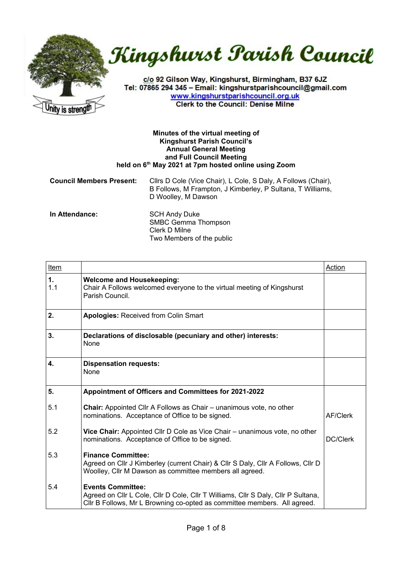



c/o 92 Gilson Way, Kingshurst, Birmingham, B37 6JZ Tel: 07865 294 345 - Email: kingshurstparishcouncil@gmail.com www.kingshurstparishcouncil.org.uk **Clerk to the Council: Denise Milne** 

## **Minutes of the virtual meeting of Kingshurst Parish Council's Annual General Meeting and Full Council Meeting held on 6th May 2021 at 7pm hosted online using Zoom**

| <b>Council Members Present:</b> | Cllrs D Cole (Vice Chair), L Cole, S Daly, A Follows (Chair),<br>B Follows, M Frampton, J Kimberley, P Sultana, T Williams,<br>D Woolley, M Dawson |
|---------------------------------|----------------------------------------------------------------------------------------------------------------------------------------------------|
| .                               | $\sim$ $\sim$ $\sim$ $\sim$ $\sim$ $\sim$ $\sim$                                                                                                   |

**In Attendance:** SCH Andy Duke SMBC Gemma Thompson Clerk D Milne Two Members of the public

| Item      |                                                                                                                                                                                           | Action   |
|-----------|-------------------------------------------------------------------------------------------------------------------------------------------------------------------------------------------|----------|
| 1.<br>1.1 | <b>Welcome and Housekeeping:</b><br>Chair A Follows welcomed everyone to the virtual meeting of Kingshurst<br>Parish Council.                                                             |          |
| 2.        | <b>Apologies: Received from Colin Smart</b>                                                                                                                                               |          |
| 3.        | Declarations of disclosable (pecuniary and other) interests:<br>None                                                                                                                      |          |
| 4.        | <b>Dispensation requests:</b><br>None                                                                                                                                                     |          |
| 5.        | Appointment of Officers and Committees for 2021-2022                                                                                                                                      |          |
| 5.1       | <b>Chair:</b> Appointed Cllr A Follows as Chair – unanimous vote, no other<br>nominations. Acceptance of Office to be signed.                                                             | AF/Clerk |
| 5.2       | Vice Chair: Appointed Cllr D Cole as Vice Chair - unanimous vote, no other<br>nominations. Acceptance of Office to be signed.                                                             | DC/Clerk |
| 5.3       | <b>Finance Committee:</b><br>Agreed on Cllr J Kimberley (current Chair) & Cllr S Daly, Cllr A Follows, Cllr D<br>Woolley, Cllr M Dawson as committee members all agreed.                  |          |
| 5.4       | <b>Events Committee:</b><br>Agreed on Clir L Cole, Clir D Cole, Clir T Williams, Clir S Daly, Clir P Sultana,<br>Cllr B Follows, Mr L Browning co-opted as committee members. All agreed. |          |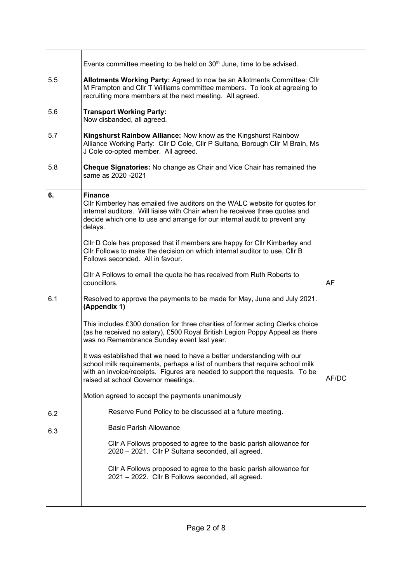|     | Events committee meeting to be held on 30 <sup>th</sup> June, time to be advised.                                                                                                                                                                                             |           |
|-----|-------------------------------------------------------------------------------------------------------------------------------------------------------------------------------------------------------------------------------------------------------------------------------|-----------|
| 5.5 | Allotments Working Party: Agreed to now be an Allotments Committee: Cllr<br>M Frampton and Cllr T Williams committee members. To look at agreeing to<br>recruiting more members at the next meeting. All agreed.                                                              |           |
| 5.6 | <b>Transport Working Party:</b><br>Now disbanded, all agreed.                                                                                                                                                                                                                 |           |
| 5.7 | Kingshurst Rainbow Alliance: Now know as the Kingshurst Rainbow<br>Alliance Working Party: Cllr D Cole, Cllr P Sultana, Borough Cllr M Brain, Ms<br>J Cole co-opted member. All agreed.                                                                                       |           |
| 5.8 | Cheque Signatories: No change as Chair and Vice Chair has remained the<br>same as 2020 - 2021                                                                                                                                                                                 |           |
| 6.  | <b>Finance</b><br>Cllr Kimberley has emailed five auditors on the WALC website for quotes for<br>internal auditors. Will liaise with Chair when he receives three quotes and<br>decide which one to use and arrange for our internal audit to prevent any<br>delays.          |           |
|     | CIIr D Cole has proposed that if members are happy for CIIr Kimberley and<br>Cllr Follows to make the decision on which internal auditor to use, Cllr B<br>Follows seconded. All in favour.                                                                                   |           |
|     | Cllr A Follows to email the quote he has received from Ruth Roberts to<br>councillors.                                                                                                                                                                                        | <b>AF</b> |
| 6.1 | Resolved to approve the payments to be made for May, June and July 2021.<br>(Appendix 1)                                                                                                                                                                                      |           |
|     | This includes £300 donation for three charities of former acting Clerks choice<br>(as he received no salary), £500 Royal British Legion Poppy Appeal as there<br>was no Remembrance Sunday event last year.                                                                   |           |
|     | It was established that we need to have a better understanding with our<br>school milk requirements, perhaps a list of numbers that require school milk<br>with an invoice/receipts. Figures are needed to support the requests. To be<br>raised at school Governor meetings. | AF/DC     |
|     | Motion agreed to accept the payments unanimously                                                                                                                                                                                                                              |           |
| 6.2 | Reserve Fund Policy to be discussed at a future meeting.                                                                                                                                                                                                                      |           |
| 6.3 | <b>Basic Parish Allowance</b>                                                                                                                                                                                                                                                 |           |
|     | CIIr A Follows proposed to agree to the basic parish allowance for<br>2020 - 2021. Cllr P Sultana seconded, all agreed.                                                                                                                                                       |           |
|     | CIIr A Follows proposed to agree to the basic parish allowance for<br>2021 - 2022. Cllr B Follows seconded, all agreed.                                                                                                                                                       |           |
|     |                                                                                                                                                                                                                                                                               |           |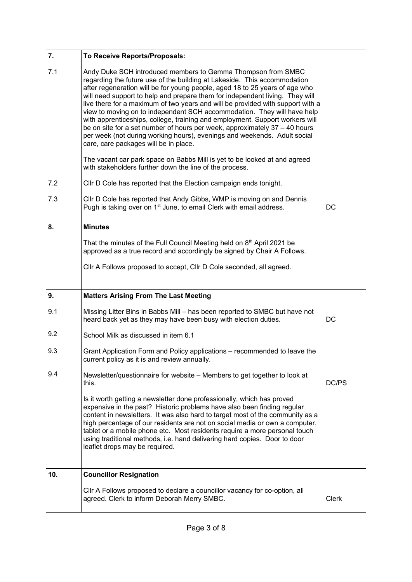| 7.  | To Receive Reports/Proposals:                                                                                                                                                                                                                                                                                                                                                                                                                                                                                                                                                                                                                                                                                                                           |       |
|-----|---------------------------------------------------------------------------------------------------------------------------------------------------------------------------------------------------------------------------------------------------------------------------------------------------------------------------------------------------------------------------------------------------------------------------------------------------------------------------------------------------------------------------------------------------------------------------------------------------------------------------------------------------------------------------------------------------------------------------------------------------------|-------|
| 7.1 | Andy Duke SCH introduced members to Gemma Thompson from SMBC<br>regarding the future use of the building at Lakeside. This accommodation<br>after regeneration will be for young people, aged 18 to 25 years of age who<br>will need support to help and prepare them for independent living. They will<br>live there for a maximum of two years and will be provided with support with a<br>view to moving on to independent SCH accommodation. They will have help<br>with apprenticeships, college, training and employment. Support workers will<br>be on site for a set number of hours per week, approximately 37 – 40 hours<br>per week (not during working hours), evenings and weekends. Adult social<br>care, care packages will be in place. |       |
|     | The vacant car park space on Babbs Mill is yet to be looked at and agreed<br>with stakeholders further down the line of the process.                                                                                                                                                                                                                                                                                                                                                                                                                                                                                                                                                                                                                    |       |
| 7.2 | CIIr D Cole has reported that the Election campaign ends tonight.                                                                                                                                                                                                                                                                                                                                                                                                                                                                                                                                                                                                                                                                                       |       |
| 7.3 | CIIr D Cole has reported that Andy Gibbs, WMP is moving on and Dennis<br>Pugh is taking over on 1 <sup>st</sup> June, to email Clerk with email address.                                                                                                                                                                                                                                                                                                                                                                                                                                                                                                                                                                                                | DC    |
| 8.  | <b>Minutes</b>                                                                                                                                                                                                                                                                                                                                                                                                                                                                                                                                                                                                                                                                                                                                          |       |
|     | That the minutes of the Full Council Meeting held on 8 <sup>th</sup> April 2021 be<br>approved as a true record and accordingly be signed by Chair A Follows.                                                                                                                                                                                                                                                                                                                                                                                                                                                                                                                                                                                           |       |
|     | Cllr A Follows proposed to accept, Cllr D Cole seconded, all agreed.                                                                                                                                                                                                                                                                                                                                                                                                                                                                                                                                                                                                                                                                                    |       |
|     |                                                                                                                                                                                                                                                                                                                                                                                                                                                                                                                                                                                                                                                                                                                                                         |       |
| 9.  | <b>Matters Arising From The Last Meeting</b>                                                                                                                                                                                                                                                                                                                                                                                                                                                                                                                                                                                                                                                                                                            |       |
| 9.1 | Missing Litter Bins in Babbs Mill - has been reported to SMBC but have not<br>heard back yet as they may have been busy with election duties.                                                                                                                                                                                                                                                                                                                                                                                                                                                                                                                                                                                                           | DC    |
| 9.2 | School Milk as discussed in item 6.1                                                                                                                                                                                                                                                                                                                                                                                                                                                                                                                                                                                                                                                                                                                    |       |
| 9.3 | Grant Application Form and Policy applications – recommended to leave the<br>current policy as it is and review annually.                                                                                                                                                                                                                                                                                                                                                                                                                                                                                                                                                                                                                               |       |
| 9.4 | Newsletter/questionnaire for website - Members to get together to look at<br>this.                                                                                                                                                                                                                                                                                                                                                                                                                                                                                                                                                                                                                                                                      | DC/PS |
|     | Is it worth getting a newsletter done professionally, which has proved<br>expensive in the past? Historic problems have also been finding regular<br>content in newsletters. It was also hard to target most of the community as a<br>high percentage of our residents are not on social media or own a computer,<br>tablet or a mobile phone etc. Most residents require a more personal touch<br>using traditional methods, i.e. hand delivering hard copies. Door to door<br>leaflet drops may be required.                                                                                                                                                                                                                                          |       |
| 10. | <b>Councillor Resignation</b>                                                                                                                                                                                                                                                                                                                                                                                                                                                                                                                                                                                                                                                                                                                           |       |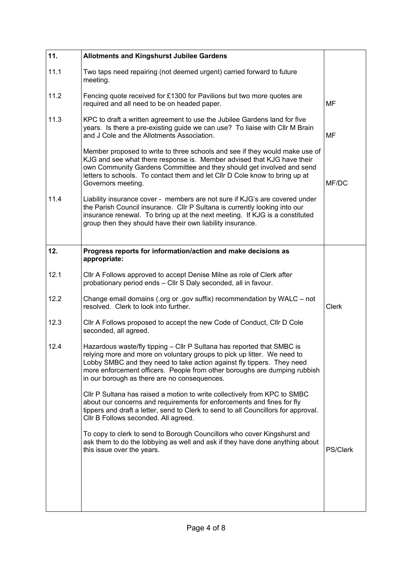| 11.  | <b>Allotments and Kingshurst Jubilee Gardens</b>                                                                                                                                                                                                                                                                                                         |                 |
|------|----------------------------------------------------------------------------------------------------------------------------------------------------------------------------------------------------------------------------------------------------------------------------------------------------------------------------------------------------------|-----------------|
| 11.1 | Two taps need repairing (not deemed urgent) carried forward to future<br>meeting.                                                                                                                                                                                                                                                                        |                 |
| 11.2 | Fencing quote received for £1300 for Pavilions but two more quotes are<br>required and all need to be on headed paper.                                                                                                                                                                                                                                   | MF              |
| 11.3 | KPC to draft a written agreement to use the Jubilee Gardens land for five<br>years. Is there a pre-existing guide we can use? To liaise with Cllr M Brain<br>and J Cole and the Allotments Association.                                                                                                                                                  | MF              |
|      | Member proposed to write to three schools and see if they would make use of<br>KJG and see what there response is. Member advised that KJG have their<br>own Community Gardens Committee and they should get involved and send<br>letters to schools. To contact them and let Cllr D Cole know to bring up at<br>Governors meeting.                      | MF/DC           |
| 11.4 | Liability insurance cover - members are not sure if KJG's are covered under<br>the Parish Council insurance. Cllr P Sultana is currently looking into our<br>insurance renewal. To bring up at the next meeting. If KJG is a constituted<br>group then they should have their own liability insurance.                                                   |                 |
| 12.  | Progress reports for information/action and make decisions as                                                                                                                                                                                                                                                                                            |                 |
|      | appropriate:                                                                                                                                                                                                                                                                                                                                             |                 |
| 12.1 | CIIr A Follows approved to accept Denise Milne as role of Clerk after<br>probationary period ends - Cllr S Daly seconded, all in favour.                                                                                                                                                                                                                 |                 |
| 12.2 | Change email domains (.org or .gov suffix) recommendation by WALC - not<br>resolved. Clerk to look into further.                                                                                                                                                                                                                                         | <b>Clerk</b>    |
| 12.3 | Cllr A Follows proposed to accept the new Code of Conduct, Cllr D Cole<br>seconded, all agreed.                                                                                                                                                                                                                                                          |                 |
| 12.4 | Hazardous waste/fly tipping - Cllr P Sultana has reported that SMBC is<br>relying more and more on voluntary groups to pick up litter. We need to<br>Lobby SMBC and they need to take action against fly tippers. They need<br>more enforcement officers. People from other boroughs are dumping rubbish<br>in our borough as there are no consequences. |                 |
|      | CIIr P Sultana has raised a motion to write collectively from KPC to SMBC<br>about our concerns and requirements for enforcements and fines for fly<br>tippers and draft a letter, send to Clerk to send to all Councillors for approval.<br>Cllr B Follows seconded. All agreed.                                                                        |                 |
|      | To copy to clerk to send to Borough Councillors who cover Kingshurst and<br>ask them to do the lobbying as well and ask if they have done anything about<br>this issue over the years.                                                                                                                                                                   | <b>PS/Clerk</b> |
|      |                                                                                                                                                                                                                                                                                                                                                          |                 |
|      |                                                                                                                                                                                                                                                                                                                                                          |                 |
|      |                                                                                                                                                                                                                                                                                                                                                          |                 |
|      |                                                                                                                                                                                                                                                                                                                                                          |                 |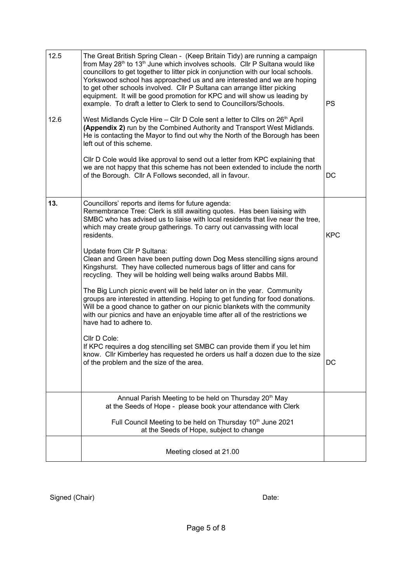| 13. | of the Borough. Cllr A Follows seconded, all in favour.<br>Councillors' reports and items for future agenda:<br>Remembrance Tree: Clerk is still awaiting quotes. Has been liaising with<br>SMBC who has advised us to liaise with local residents that live near the tree,<br>which may create group gatherings. To carry out canvassing with local<br>residents.<br>Update from Cllr P Sultana:<br>Clean and Green have been putting down Dog Mess stencilling signs around<br>Kingshurst. They have collected numerous bags of litter and cans for<br>recycling. They will be holding well being walks around Babbs Mill.<br>The Big Lunch picnic event will be held later on in the year. Community<br>groups are interested in attending. Hoping to get funding for food donations.<br>Will be a good chance to gather on our picnic blankets with the community<br>with our picnics and have an enjoyable time after all of the restrictions we<br>have had to adhere to.<br>Cllr D Cole:<br>If KPC requires a dog stencilling set SMBC can provide them if you let him<br>know. Cllr Kimberley has requested he orders us half a dozen due to the size<br>of the problem and the size of the area. | <b>KPC</b><br>DC |
|-----|-----------------------------------------------------------------------------------------------------------------------------------------------------------------------------------------------------------------------------------------------------------------------------------------------------------------------------------------------------------------------------------------------------------------------------------------------------------------------------------------------------------------------------------------------------------------------------------------------------------------------------------------------------------------------------------------------------------------------------------------------------------------------------------------------------------------------------------------------------------------------------------------------------------------------------------------------------------------------------------------------------------------------------------------------------------------------------------------------------------------------------------------------------------------------------------------------------------|------------------|
|     | Annual Parish Meeting to be held on Thursday 20 <sup>th</sup> May<br>at the Seeds of Hope - please book your attendance with Clerk                                                                                                                                                                                                                                                                                                                                                                                                                                                                                                                                                                                                                                                                                                                                                                                                                                                                                                                                                                                                                                                                        |                  |
|     | Full Council Meeting to be held on Thursday 10 <sup>th</sup> June 2021<br>at the Seeds of Hope, subject to change<br>Meeting closed at 21.00                                                                                                                                                                                                                                                                                                                                                                                                                                                                                                                                                                                                                                                                                                                                                                                                                                                                                                                                                                                                                                                              |                  |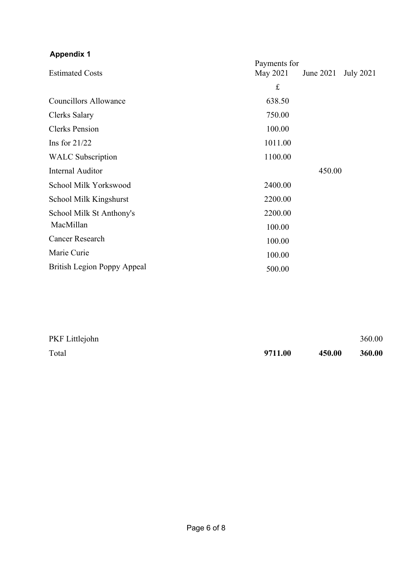## **Appendix 1**

| <b>Estimated Costs</b>             | Payments for<br><b>July 2021</b><br>May 2021<br>June 2021 |
|------------------------------------|-----------------------------------------------------------|
|                                    | $\pounds$                                                 |
| <b>Councillors Allowance</b>       | 638.50                                                    |
| Clerks Salary                      | 750.00                                                    |
| <b>Clerks Pension</b>              | 100.00                                                    |
| Ins for $21/22$                    | 1011.00                                                   |
| <b>WALC</b> Subscription           | 1100.00                                                   |
| <b>Internal Auditor</b>            | 450.00                                                    |
| School Milk Yorkswood              | 2400.00                                                   |
| School Milk Kingshurst             | 2200.00                                                   |
| School Milk St Anthony's           | 2200.00                                                   |
| MacMillan                          | 100.00                                                    |
| <b>Cancer Research</b>             | 100.00                                                    |
| Marie Curie                        | 100.00                                                    |
| <b>British Legion Poppy Appeal</b> | 500.00                                                    |

| PKF Littlejohn |         |        | 360.00 |
|----------------|---------|--------|--------|
| Total          | 9711.00 | 450.00 | 360.00 |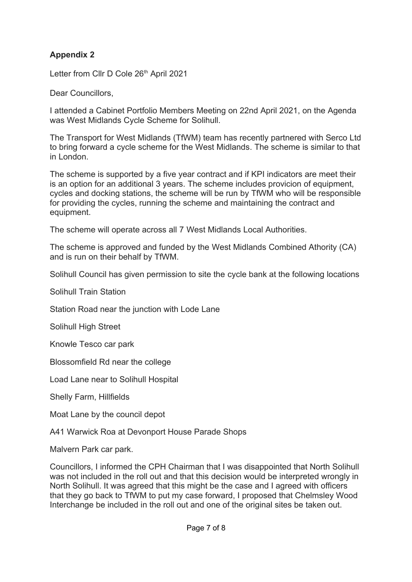## **Appendix 2**

Letter from Cllr D Cole 26<sup>th</sup> April 2021

Dear Councillors,

I attended a Cabinet Portfolio Members Meeting on 22nd April 2021, on the Agenda was West Midlands Cycle Scheme for Solihull.

The Transport for West Midlands (TfWM) team has recently partnered with Serco Ltd to bring forward a cycle scheme for the West Midlands. The scheme is similar to that in London.

The scheme is supported by a five year contract and if KPI indicators are meet their is an option for an additional 3 years. The scheme includes provicion of equipment, cycles and docking stations, the scheme will be run by TfWM who will be responsible for providing the cycles, running the scheme and maintaining the contract and equipment.

The scheme will operate across all 7 West Midlands Local Authorities.

The scheme is approved and funded by the West Midlands Combined Athority (CA) and is run on their behalf by TfWM.

Solihull Council has given permission to site the cycle bank at the following locations

Solihull Train Station

Station Road near the junction with Lode Lane

Solihull High Street

Knowle Tesco car park

Blossomfield Rd near the college

Load Lane near to Solihull Hospital

Shelly Farm, Hillfields

Moat Lane by the council depot

A41 Warwick Roa at Devonport House Parade Shops

Malvern Park car park.

Councillors, I informed the CPH Chairman that I was disappointed that North Solihull was not included in the roll out and that this decision would be interpreted wrongly in North Solihull. It was agreed that this might be the case and I agreed with officers that they go back to TfWM to put my case forward, I proposed that Chelmsley Wood Interchange be included in the roll out and one of the original sites be taken out.